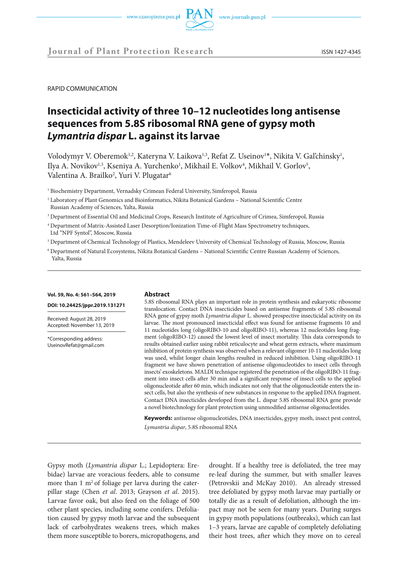RAPID COMMUNICATION

# **Insecticidal activity of three 10–12 nucleotides long antisense sequences from 5.8S ribosomal RNA gene of gypsy moth**  *Lymantria dispar* **L. against its larvae**

Volodymyr V. Oberemok<sup>1,2</sup>, Kateryna V. Laikova<sup>1,3</sup>, Refat Z. Useinov<sup>1\*</sup>, Nikita V. Gal'chinsky<sup>1</sup>, Ilya A. Novikov<sup>1,3</sup>, Kseniya A. Yurchenko<sup>1</sup>, Mikhail E. Volkov<sup>4</sup>, Mikhail V. Gorlov<sup>5</sup>, Valentina A. Brailko<sup>2</sup>, Yuri V. Plugatar<sup>6</sup>

<sup>1</sup> Biochemistry Department, Vernadsky Crimean Federal University, Simferopol, Russia

2 Laboratory of Plant Genomics and Bioinformatics, Nikita Botanical Gardens – National Scientific Centre Russian Academy of Sciences, Yalta, Russia

- <sup>3</sup> Department of Essential Oil and Medicinal Crops, Research Institute of Agriculture of Crimea, Simferopol, Russia
- 4 Department of Matrix-Assisted Laser Desorption/Ionization Time-of-Flight Mass Spectrometry techniques, Ltd "NPF Syntol", Moscow, Russia
- 5 Department of Chemical Technology of Plastics, Mendeleev University of Chemical Technology of Russia, Moscow, Russia
- 6 Department of Natural Ecosystems, Nikita Botanical Gardens National Scientific Centre Russian Academy of Sciences, Yalta, Russia

## **Vol. 59, No. 4: 561–564, 2019**

**DOI: 10.24425/jppr.2019.131271**

Received: August 28, 2019 Accepted: November 13, 2019

\*Corresponding address: UseinovRefat@gmail.com

#### **Abstract**

5.8S ribosomal RNA plays an important role in protein synthesis and eukaryotic ribosome translocation. Contact DNA insecticides based on antisense fragments of 5.8S ribosomal RNA gene of gypsy moth *Lymantria dispar* L. showed prospective insecticidal activity on its larvae. The most pronounced insecticidal effect was found for antisense fragments 10 and 11 nucleotides long (oligoRIBO-10 and oligoRIBO-11), whereas 12 nucleotides long fragment (oligoRIBO-12) caused the lowest level of insect mortality. This data corresponds to results obtained earlier using rabbit reticulocyte and wheat germ extracts, where maximum inhibition of protein synthesis was observed when a relevant oligomer 10-11 nucleotides long was used, whilst longer chain lengths resulted in reduced inhibition. Using oligoRIBO-11 fragment we have shown penetration of antisense oligonucleotides to insect cells through insects' exoskeletons. MALDI technique registered the penetration of the oligoRIBO-11 fragment into insect cells after 30 min and a significant response of insect cells to the applied oligonucleotide after 60 min, which indicates not only that the oligonucleotide enters the insect cells, but also the synthesis of new substances in response to the applied DNA fragment. Contact DNA insecticides developed from the L. dispar 5.8S ribosomal RNA gene provide a novel biotechnology for plant protection using unmodified antisense oligonucleotides.

**Keywords:** antisense oligonucleotides, DNA insecticides, gypsy moth, insect pest control, *Lymantria dispar*, 5.8S ribosomal RNA

Gypsy moth (*Lymantria dispar* L.; Lepidoptera: Erebidae) larvae are voracious feeders, able to consume more than  $1 \text{ m}^2$  of foliage per larva during the caterpillar stage (Chen *et al*. 2013; Grayson *et al*. 2015). Larvae favor oak, but also feed on the foliage of 500 other plant species, including some conifers. Defoliation caused by gypsy moth larvae and the subsequent lack of carbohydrates weakens trees, which makes them more susceptible to borers, micropathogens, and

drought. If a healthy tree is defoliated, the tree may re-leaf during the summer, but with smaller leaves (Petrovskii and McKay 2010). An already stressed tree defoliated by gypsy moth larvae may partially or totally die as a result of defoliation, although the impact may not be seen for many years. During surges in gypsy moth populations (outbreaks), which can last 1–3 years, larvae are capable of completely defoliating their host trees, after which they move on to cereal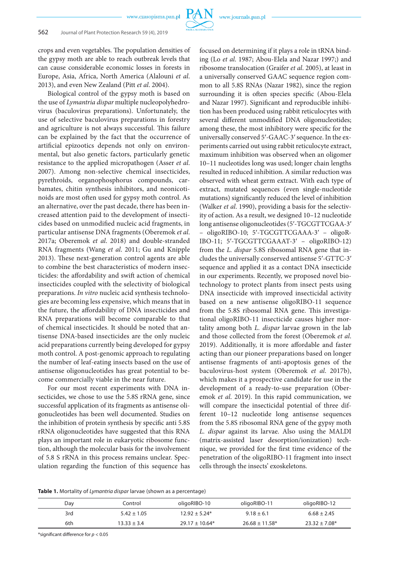crops and even vegetables. The population densities of the gypsy moth are able to reach outbreak levels that can cause considerable economic losses in forests in Europe, Asia, Africa, North America (Alalouni *et al*. 2013), and even New Zealand (Pitt *et al*. 2004).

Biological control of the gypsy moth is based on the use of *Lymantria dispar* multiple nucleopolyhedrovirus (baculovirus preparations). Unfortunately, the use of selective baculovirus preparations in forestry and agriculture is not always successful. This failure can be explained by the fact that the occurrence of artificial epizootics depends not only on environmental, but also genetic factors, particularly genetic resistance to the applied micropathogen (Asser *et al*. 2007). Among non-selective chemical insecticides, pyrethroids, organophosphorus compounds, carbamates, chitin synthesis inhibitors, and neonicotinoids are most often used for gypsy moth control. As an alternative, over the past decade, there has been increased attention paid to the development of insecticides based on unmodified nucleic acid fragments, in particular antisense DNA fragments (Oberemok *et al*. 2017a; Oberemok *et al*. 2018) and double-stranded RNA fragments (Wang *et al*. 2011; Gu and Knipple 2013). These next-generation control agents are able to combine the best characteristics of modern insecticides: the affordability and swift action of chemical insecticides coupled with the selectivity of biological preparations. *In vitro* nucleic acid synthesis technologies are becoming less expensive, which means that in the future, the affordability of DNA insecticides and RNA preparations will become comparable to that of chemical insecticides. It should be noted that antisense DNA-based insecticides are the only nucleic acid preparations currently being developed for gypsy moth control. A post-genomic approach to regulating the number of leaf-eating insects based on the use of antisense oligonucleotides has great potential to become commercially viable in the near future.

For our most recent experiments with DNA insecticides, we chose to use the 5.8S rRNA gene, since successful application of its fragments as antisense oligonucleotides has been well documented. Studies on the inhibition of protein synthesis by specific anti 5.8S rRNA oligonucleotides have suggested that this RNA plays an important role in eukaryotic ribosome function, although the molecular basis for the involvement of 5.8 S rRNA in this process remains unclear. Speculation regarding the function of this sequence has

focused on determining if it plays a role in tRNA binding (Lo *et al*. 1987; Abou-Elela and Nazar 1997;) and ribosome translocation (Graifer *et al*. 2005), at least in a universally conserved GAAC sequence region common to all 5.8S RNAs (Nazar 1982), since the region surrounding it is often species specific (Abou-Elela and Nazar 1997). Significant and reproducible inhibition has been produced using rabbit reticulocytes with several different unmodified DNA oligonucleotides; among these, the most inhibitory were specific for the universally conserved 5′-GAAC-3′ sequence. In the experiments carried out using rabbit reticulocyte extract, maximum inhibition was observed when an oligomer 10–11 nucleotides long was used; longer chain lengths resulted in reduced inhibition. A similar reduction was observed with wheat germ extract. With each type of extract, mutated sequences (even single-nucleotide mutations) significantly reduced the level of inhibition (Walker *et al*. 1990), providing a basis for the selectivity of action. As a result, we designed 10–12 nucleotide long antisense oligonucleotides (5′-TGCGTTCGAA-3′ – oligoRIBO-10; 5′-TGCGTTCGAAA-3′ – oligoR-IBO-11; 5′-TGCGTTCGAAAT-3′ – oligoRIBO-12) from the *L. dispar* 5.8S ribosomal RNA gene that includes the universally conserved antisense 5′-GTTC-3′ sequence and applied it as a contact DNA insecticide in our experiments. Recently, we proposed novel biotechnology to protect plants from insect pests using DNA insecticide with improved insecticidal activity based on a new antisense oligoRIBO-11 sequence from the 5.8S ribosomal RNA gene. This investigational oligoRIBO-11 insecticide causes higher mortality among both *L. dispar* larvae grown in the lab and those collected from the forest (Oberemok *et al*. 2019). Additionally, it is more affordable and faster acting than our pioneer preparations based on longer antisense fragments of anti-apoptosis genes of the baculovirus-host system (Oberemok *et al*. 2017b), which makes it a prospective candidate for use in the development of a ready-to-use preparation (Oberemok *et al*. 2019). In this rapid communication, we will compare the insecticidal potential of three different 10–12 nucleotide long antisense sequences from the 5.8S ribosomal RNA gene of the gypsy moth *L. dispar* against its larvae. Also using the MALDI (matrix-assisted laser desorption/ionization) technique, we provided for the first time evidence of the penetration of the oligoRIBO-11 fragment into insect cells through the insects' exoskeletons.

**Table 1.** Mortality of *Lymantria dispar* larvae (shown as a percentage)

| Day | Control         | oligoRIBO-10       | oligoRIBO-11        | oligoRIBO-12      |
|-----|-----------------|--------------------|---------------------|-------------------|
| 3rd | $5.42 \pm 1.05$ | $12.92 + 5.24*$    | $9.18 \pm 6.1$      | $6.68 \pm 2.45$   |
| 6th | $13.33 \pm 3.4$ | $29.17 \pm 10.64*$ | $26.68 \pm 11.58^*$ | $23.32 \pm 7.08*$ |

\*significant difference for *p* < 0.05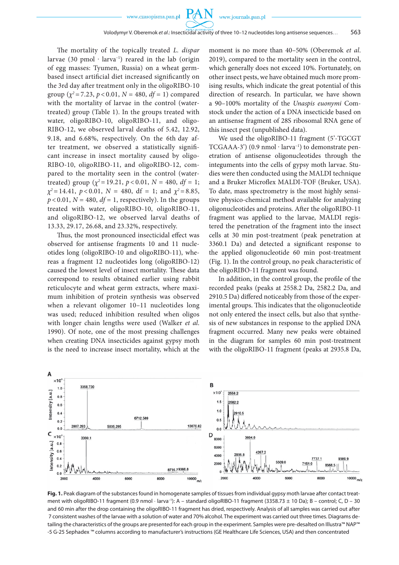www.czasopisma.pan.pl

 $P\mathcal{A}$ 

The mortality of the topically treated *L. dispar* larvae (30 pmol ∙ larva–1) reared in the lab (origin of egg masses: Tyumen, Russia) on a wheat germbased insect artificial diet increased significantly on the 3rd day after treatment only in the oligoRIBO-10 group ( $\chi^2$  = 7.23,  $p$  < 0.01,  $N$  = 480,  $df$  = 1) compared with the mortality of larvae in the control (watertreated) group (Table 1). In the groups treated with water, oligoRIBO-10, oligoRIBO-11, and oligo-RIBO-12, we observed larval deaths of 5.42, 12.92, 9.18, and 6.68%, respectively. On the 6th day after treatment, we observed a statistically significant increase in insect mortality caused by oligo-RIBO-10, oligoRIBO-11, and oligoRIBO-12, compared to the mortality seen in the control (watertreated) group ( $\chi^2$  = 19.21,  $p$  < 0.01,  $N$  = 480,  $df$  = 1;  $\chi^2 = 14.41$ ,  $p < 0.01$ ,  $N = 480$ , df = 1; and  $\chi^2 = 8.85$ ,  $p < 0.01$ ,  $N = 480$ ,  $df = 1$ , respectively). In the groups treated with water, oligoRIBO-10, oligoRIBO-11, and oligoRIBO-12, we observed larval deaths of 13.33, 29.17, 26.68, and 23.32%, respectively.

Thus, the most pronounced insecticidal effect was observed for antisense fragments 10 and 11 nucleotides long (oligoRIBO-10 and oligoRIBO-11), whereas a fragment 12 nucleotides long (oligoRIBO-12) caused the lowest level of insect mortality. These data correspond to results obtained earlier using rabbit reticulocyte and wheat germ extracts, where maximum inhibition of protein synthesis was observed when a relevant oligomer 10–11 nucleotides long was used; reduced inhibition resulted when oligos with longer chain lengths were used (Walker *et al*. 1990). Of note, one of the most pressing challenges when creating DNA insecticides against gypsy moth is the need to increase insect mortality, which at the moment is no more than 40–50% (Oberemok *et al*. 2019), compared to the mortality seen in the control, which generally does not exceed 10%. Fortunately, on other insect pests, we have obtained much more promising results, which indicate the great potential of this direction of research. In particular, we have shown a 90–100% mortality of the *Unaspis euonymi* Comstock under the action of a DNA insecticide based on an antisense fragment of 28S ribosomal RNA gene of this insect pest (unpublished data).

We used the oligoRIBO-11 fragment (5'-TGCGT TCGAAA-3') (0.9 nmol ∙ larva–1) to demonstrate penetration of antisense oligonucleotides through the integuments into the cells of gypsy moth larvae. Studies were then conducted using the MALDI technique and a Bruker Microflex MALDI-TOF (Bruker, USA). To date, mass spectrometry is the most highly sensitive physico-chemical method available for analyzing oligonucleotides and proteins. After the oligoRIBO-11 fragment was applied to the larvae, MALDI registered the penetration of the fragment into the insect cells at 30 min post-treatment (peak penetration at 3360.1 Da) and detected a significant response to the applied oligonucleotide 60 min post-treatment (Fig. 1). In the control group, no peak characteristic of the oligoRIBO-11 fragment was found.

In addition, in the control group, the profile of the recorded peaks (peaks at 2558.2 Da, 2582.2 Da, and 2910.5 Da) differed noticeably from those of the experimental groups. This indicates that the oligonucleotide not only entered the insect cells, but also that synthesis of new substances in response to the applied DNA fragment occurred. Many new peaks were obtained in the diagram for samples 60 min post-treatment with the oligoRIBO-11 fragment (peaks at 2935.8 Da,



Fig. 1. Peak diagram of the substances found in homogenate samples of tissues from individual gypsy moth larvae after contact treatment with oligoRIBO-11 fragment (0.9 nmol · larva<sup>-1</sup>): A – standard oligoRIBO-11 fragment (3358.73 ± 10 Da); B – control; C, D – 30 and 60 min after the drop containing the oligoRIBO-11 fragment has dried, respectively. Analysis of all samples was carried out after 7 consistent washes of the larvae with a solution of water and 70% alcohol. The experiment was carried out three times. Diagrams detailing the characteristics of the groups are presented for each group in the experiment. Samples were pre-desalted on Illustra™ NAP™ -5 G-25 Sephadex ™ columns according to manufacturer's instructions (GE Healthcare Life Sciences, USA) and then concentrated